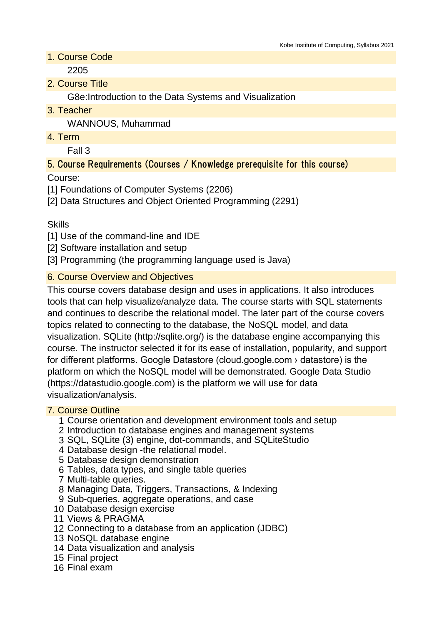# 1. Course Code

2205

2. Course Title

G8e:Introduction to the Data Systems and Visualization

3. Teacher

WANNOUS, Muhammad

4. Term

Fall 3

# 5. Course Requirements (Courses / Knowledge prerequisite for this course)

Course:

[1] Foundations of Computer Systems (2206)

[2] Data Structures and Object Oriented Programming (2291)

Skills

[1] Use of the command-line and IDE

[2] Software installation and setup

[3] Programming (the programming language used is Java)

# 6. Course Overview and Objectives

This course covers database design and uses in applications. It also introduces tools that can help visualize/analyze data. The course starts with SQL statements and continues to describe the relational model. The later part of the course covers topics related to connecting to the database, the NoSQL model, and data visualization. SQLite (http://sqlite.org/) is the database engine accompanying this course. The instructor selected it for its ease of installation, popularity, and support for different platforms. Google Datastore (cloud.google.com › datastore) is the platform on which the NoSQL model will be demonstrated. Google Data Studio (https://datastudio.google.com) is the platform we will use for data visualization/analysis.

# 7. Course Outline

- 1 Course orientation and development environment tools and setup
- 2 Introduction to database engines and management systems
- 3 SQL, SQLite (3) engine, dot-commands, and SQLiteStudio
- 4 Database design -the relational model.
- 5 Database design demonstration
- 6 Tables, data types, and single table queries
- 7 Multi-table queries.
- 8 Managing Data, Triggers, Transactions, & Indexing
- 9 Sub-queries, aggregate operations, and case
- 10 Database design exercise
- 11 Views & PRAGMA
- 12 Connecting to a database from an application (JDBC)
- 13 NoSQL database engine
- 14 Data visualization and analysis
- 15 Final project
- 16 Final exam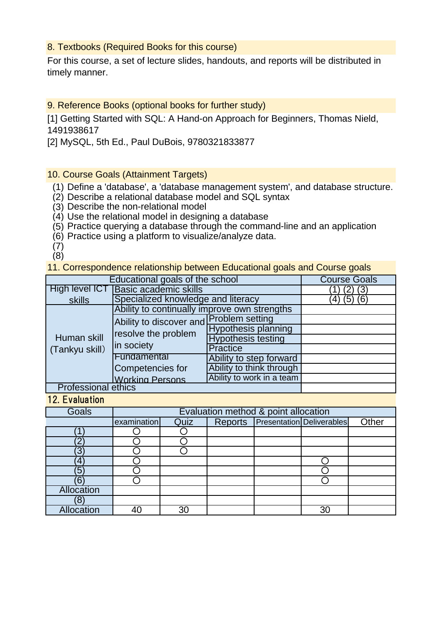#### 8. Textbooks (Required Books for this course)

For this course, a set of lecture slides, handouts, and reports will be distributed in timely manner.

#### 9. Reference Books (optional books for further study)

[1] Getting Started with SQL: A Hand-on Approach for Beginners, Thomas Nield, 1491938617

[2] MySQL, 5th Ed., Paul DuBois, 9780321833877

#### 10. Course Goals (Attainment Targets)

- (1) Define a 'database', a 'database management system', and database structure.
- (2) Describe a relational database model and SQL syntax
- (3) Describe the non-relational model
- (4) Use the relational model in designing a database
- (5) Practice querying a database through the command-line and an application
- (6) Practice using a platform to visualize/analyze data.

(7) (8)

11. Correspondence relationship between Educational goals and Course goals

| Educational goals of the school |                                                                              |                            | <b>Course Goals</b> |
|---------------------------------|------------------------------------------------------------------------------|----------------------------|---------------------|
| High level ICT                  | <b>Basic academic skills</b>                                                 |                            |                     |
| skills                          | Specialized knowledge and literacy                                           |                            | $(5)$ $(6)$<br>4)   |
|                                 | Ability to continually improve own strengths                                 |                            |                     |
| Human skill<br>(Tankyu skill)   | Ability to discover and Problem setting<br>resolve the problem<br>in society |                            |                     |
|                                 |                                                                              | <b>Hypothesis planning</b> |                     |
|                                 |                                                                              | <b>Hypothesis testing</b>  |                     |
|                                 |                                                                              | <b>Practice</b>            |                     |
|                                 | Fundamental                                                                  | Ability to step forward    |                     |
|                                 | Competencies for                                                             | Ability to think through   |                     |
|                                 | <b>Working Persons</b>                                                       | Ability to work in a team  |                     |
| <b>Professional ethics</b>      |                                                                              |                            |                     |

12. Evaluation

| <b>Goals</b> | Evaluation method & point allocation |      |  |  |                                   |       |
|--------------|--------------------------------------|------|--|--|-----------------------------------|-------|
|              | examination                          | Quiz |  |  | Reports Presentation Deliverables | Other |
|              |                                      |      |  |  |                                   |       |
|              |                                      |      |  |  |                                   |       |
| 3            |                                      |      |  |  |                                   |       |
| 4            |                                      |      |  |  |                                   |       |
| 5            |                                      |      |  |  |                                   |       |
| 6            |                                      |      |  |  |                                   |       |
| Allocation   |                                      |      |  |  |                                   |       |
|              |                                      |      |  |  |                                   |       |
| Allocation   |                                      | 30   |  |  | 30                                |       |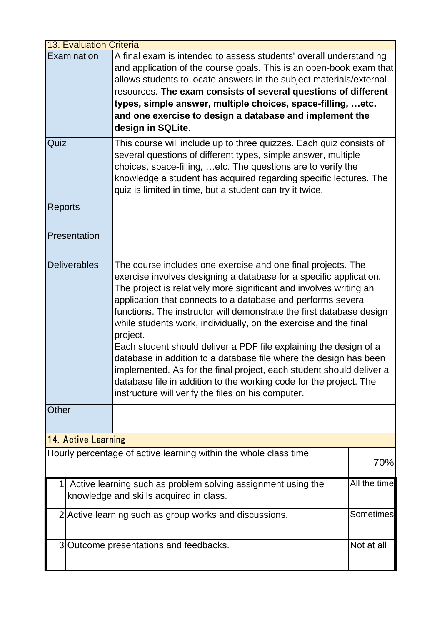|                | <b>13. Evaluation Criteria</b>                                                                                          |                                                                                                                                                                                                                                                                                                                                                                                                                                                                                                                                                                                                                                                                                                                                                                                |     |
|----------------|-------------------------------------------------------------------------------------------------------------------------|--------------------------------------------------------------------------------------------------------------------------------------------------------------------------------------------------------------------------------------------------------------------------------------------------------------------------------------------------------------------------------------------------------------------------------------------------------------------------------------------------------------------------------------------------------------------------------------------------------------------------------------------------------------------------------------------------------------------------------------------------------------------------------|-----|
|                | Examination                                                                                                             | A final exam is intended to assess students' overall understanding<br>and application of the course goals. This is an open-book exam that<br>allows students to locate answers in the subject materials/external<br>resources. The exam consists of several questions of different<br>types, simple answer, multiple choices, space-filling,  etc.<br>and one exercise to design a database and implement the<br>design in SQLite.                                                                                                                                                                                                                                                                                                                                             |     |
| Quiz           |                                                                                                                         | This course will include up to three quizzes. Each quiz consists of<br>several questions of different types, simple answer, multiple<br>choices, space-filling, etc. The questions are to verify the<br>knowledge a student has acquired regarding specific lectures. The<br>quiz is limited in time, but a student can try it twice.                                                                                                                                                                                                                                                                                                                                                                                                                                          |     |
| <b>Reports</b> |                                                                                                                         |                                                                                                                                                                                                                                                                                                                                                                                                                                                                                                                                                                                                                                                                                                                                                                                |     |
|                | Presentation                                                                                                            |                                                                                                                                                                                                                                                                                                                                                                                                                                                                                                                                                                                                                                                                                                                                                                                |     |
|                | Deliverables                                                                                                            | The course includes one exercise and one final projects. The<br>exercise involves designing a database for a specific application.<br>The project is relatively more significant and involves writing an<br>application that connects to a database and performs several<br>functions. The instructor will demonstrate the first database design<br>while students work, individually, on the exercise and the final<br>project.<br>Each student should deliver a PDF file explaining the design of a<br>database in addition to a database file where the design has been<br>implemented. As for the final project, each student should deliver a<br>database file in addition to the working code for the project. The<br>instructure will verify the files on his computer. |     |
| Other          |                                                                                                                         |                                                                                                                                                                                                                                                                                                                                                                                                                                                                                                                                                                                                                                                                                                                                                                                |     |
|                | <b>14. Active Learning</b>                                                                                              |                                                                                                                                                                                                                                                                                                                                                                                                                                                                                                                                                                                                                                                                                                                                                                                |     |
|                |                                                                                                                         | Hourly percentage of active learning within the whole class time                                                                                                                                                                                                                                                                                                                                                                                                                                                                                                                                                                                                                                                                                                               | 70% |
|                | All the time<br>Active learning such as problem solving assignment using the<br>knowledge and skills acquired in class. |                                                                                                                                                                                                                                                                                                                                                                                                                                                                                                                                                                                                                                                                                                                                                                                |     |
|                | Sometimes<br>2 Active learning such as group works and discussions.                                                     |                                                                                                                                                                                                                                                                                                                                                                                                                                                                                                                                                                                                                                                                                                                                                                                |     |
|                | Not at all<br>3 Outcome presentations and feedbacks.                                                                    |                                                                                                                                                                                                                                                                                                                                                                                                                                                                                                                                                                                                                                                                                                                                                                                |     |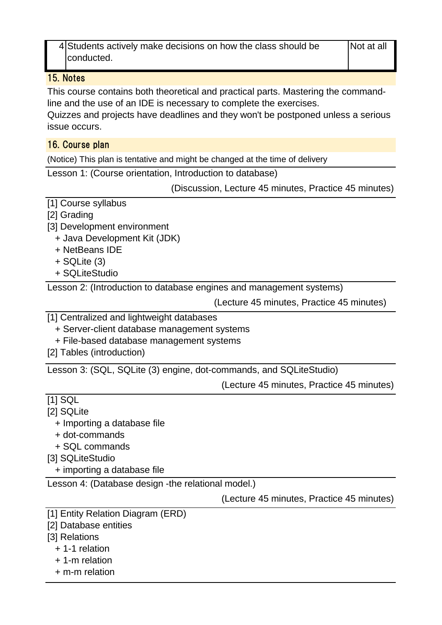4 Students actively make decisions on how the class should be | Not at all conducted.

#### 15. Notes

This course contains both theoretical and practical parts. Mastering the commandline and the use of an IDE is necessary to complete the exercises.

Quizzes and projects have deadlines and they won't be postponed unless a serious issue occurs.

#### 16. Course plan

(Notice) This plan is tentative and might be changed at the time of delivery

Lesson 1: (Course orientation, Introduction to database)

(Discussion, Lecture 45 minutes, Practice 45 minutes)

# [1] Course syllabus

- [2] Grading
- [3] Development environment
	- + Java Development Kit (JDK)
	- + NetBeans IDE
	- + SQLite (3)
	- + SQLiteStudio

Lesson 2: (Introduction to database engines and management systems)

(Lecture 45 minutes, Practice 45 minutes)

- [1] Centralized and lightweight databases
	- + Server-client database management systems
	- + File-based database management systems
- [2] Tables (introduction)

Lesson 3: (SQL, SQLite (3) engine, dot-commands, and SQLiteStudio)

(Lecture 45 minutes, Practice 45 minutes)

# [1] SQL

- [2] SQLite
	- + Importing a database file
	- + dot-commands
	- + SQL commands
- [3] SQLiteStudio
	- + importing a database file

Lesson 4: (Database design -the relational model.)

(Lecture 45 minutes, Practice 45 minutes)

- [1] Entity Relation Diagram (ERD)
- [2] Database entities
- [3] Relations
	- + 1-1 relation
	- + 1-m relation
	- + m-m relation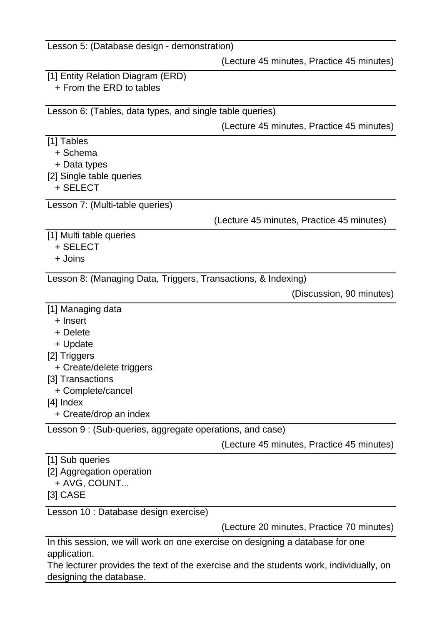| Lesson 5: (Database design - demonstration)                                   |                                           |
|-------------------------------------------------------------------------------|-------------------------------------------|
|                                                                               | (Lecture 45 minutes, Practice 45 minutes) |
| [1] Entity Relation Diagram (ERD)                                             |                                           |
| + From the ERD to tables                                                      |                                           |
|                                                                               |                                           |
| Lesson 6: (Tables, data types, and single table queries)                      |                                           |
|                                                                               | (Lecture 45 minutes, Practice 45 minutes) |
| [1] Tables                                                                    |                                           |
| + Schema                                                                      |                                           |
| + Data types                                                                  |                                           |
| [2] Single table queries                                                      |                                           |
| + SELECT                                                                      |                                           |
| Lesson 7: (Multi-table queries)                                               |                                           |
|                                                                               | (Lecture 45 minutes, Practice 45 minutes) |
| [1] Multi table queries                                                       |                                           |
| + SELECT                                                                      |                                           |
| + Joins                                                                       |                                           |
| Lesson 8: (Managing Data, Triggers, Transactions, & Indexing)                 |                                           |
|                                                                               | (Discussion, 90 minutes)                  |
|                                                                               |                                           |
| [1] Managing data<br>+ Insert                                                 |                                           |
| + Delete                                                                      |                                           |
| + Update                                                                      |                                           |
| [2] Triggers                                                                  |                                           |
| + Create/delete triggers                                                      |                                           |
| [3] Transactions                                                              |                                           |
| + Complete/cancel                                                             |                                           |
| $[4]$ Index                                                                   |                                           |
| + Create/drop an index                                                        |                                           |
| Lesson 9 : (Sub-queries, aggregate operations, and case)                      |                                           |
|                                                                               | (Lecture 45 minutes, Practice 45 minutes) |
| [1] Sub queries                                                               |                                           |
| [2] Aggregation operation                                                     |                                           |
| + AVG, COUNT                                                                  |                                           |
| $[3]$ CASE                                                                    |                                           |
| Lesson 10 : Database design exercise)                                         |                                           |
|                                                                               | (Lecture 20 minutes, Practice 70 minutes) |
| In this session, we will work on one exercise on designing a database for one |                                           |
| application.                                                                  |                                           |
|                                                                               |                                           |

The lecturer provides the text of the exercise and the students work, individually, on designing the database.